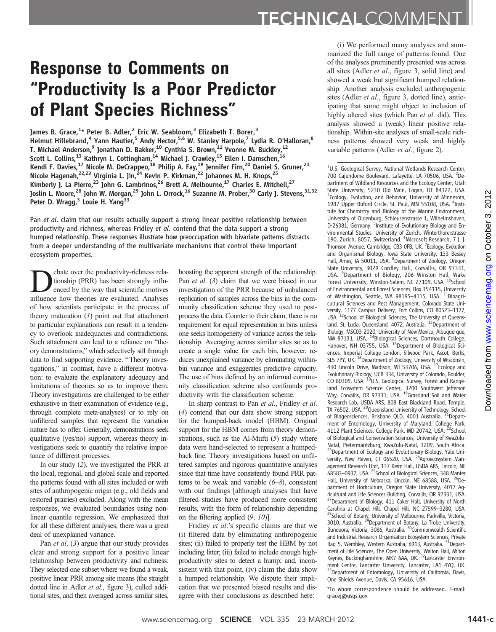## Response to Comments on "Productivity Is a Poor Predictor of Plant Species Richness"

James B. Grace,<sup>1</sup>\* Peter B. Adler,<sup>2</sup> Eric W. Seabloom,<sup>3</sup> Elizabeth T. Borer,<sup>3</sup> Helmut Hillebrand,<sup>4</sup> Yann Hautier,<sup>5</sup> Andy Hector,<sup>5,6</sup> W. Stanley Harpole,<sup>7</sup> Lydia R. O'Halloran,<sup>8</sup> T. Michael Anderson, $^9$  Jonathan D. Bakker, $^{10}$  Cynthia S. Brown, $^{11}$  Yvonne M. Buckley, $^{12}$ Scott L. Collins,<sup>13</sup> Kathryn L. Cottingham,<sup>14</sup> Michael J. Crawley,<sup>15</sup> Ellen I. Damschen,<sup>16</sup> Kendi F. Davies,<sup>17</sup> Nicole M. DeCrappeo,<sup>18</sup> Philip A. Fay,<sup>19</sup> Jennifer Firn,<sup>20</sup> Daniel S. Gruner,<sup>21</sup> Nicole Hagenah,<sup>22,23</sup> Virginia L. Jin,<sup>24</sup> Kevin P. Kirkman,<sup>22</sup> Johannes M. H. Knops,<sup>25</sup> Kimberly J. La Pierre,<sup>23</sup> John G. Lambrinos,<sup>26</sup> Brett A. Melbourne,<sup>17</sup> Charles E. Mitchell,<sup>27</sup> Joslin L. Moore,<sup>28</sup> John W. Morgan,<sup>29</sup> John L. Orrock,<sup>16</sup> Suzanne M. Prober,<sup>30</sup> Carly J. Stevens,<sup>31,32</sup> Peter D. Wragg,<sup>3</sup> Louie H. Yang<sup>33</sup>

Pan et al. claim that our results actually support a strong linear positive relationship between productivity and richness, whereas Fridley et al. contend that the data support a strong humped relationship. These responses illustrate how preoccupation with bivariate patterns distracts from a deeper understanding of the multivariate mechanisms that control these important ecosystem properties.

**Example State over the productivity-richness rela-**<br>tionship (PRR) has been strongly influ-<br>enced by the way that scientific motives<br>influence how theories are evaluated Analyses tionship (PRR) has been strongly influinfluence how theories are evaluated. Analyses of how scientists participate in the process of theory maturation  $(1)$  point out that attachment to particular explanations can result in a tendency to overlook inadequacies and contradictions. Such attachment can lead to a reliance on "theory demonstrations," which selectively sift through data to find supporting evidence. "Theory investigations," in contrast, have a different motivation: to evaluate the explanatory adequacy and limitations of theories so as to improve them. Theory investigations are challenged to be either exhaustive in their examination of evidence (e.g., through complete meta-analyses) or to rely on unfiltered samples that represent the variation nature has to offer. Generally, demonstrations seek qualitative (yes/no) support, whereas theory investigations seek to quantify the relative importance of different processes.

In our study (2), we investigated the PRR at the local, regional, and global scale and reported the patterns found with all sites included or with sites of anthropogenic origin (e.g., old fields and restored prairies) excluded. Along with the mean responses, we evaluated boundaries using nonlinear quantile regression. We emphasized that for all these different analyses, there was a great deal of unexplained variance.

Pan *et al.* (3) argue that our study provides clear and strong support for a positive linear relationship between productivity and richness. They selected one subset where we found a weak, positive linear PRR among site means (the straight dotted line in Adler et al., figure 3), culled additional sites, and then averaged across similar sites,

boosting the apparent strength of the relationship. Pan *et al.* (3) claim that we were biased in our investigation of the PRR because of unbalanced replication of samples across the bins in the community classification scheme they used to postprocess the data. Counter to their claim, there is no requirement for equal representation in bins unless one seeks homogeneity of variance across the relationship. Averaging across similar sites so as to create a single value for each bin, however, reduces unexplained variance by eliminating withinbin variance and exaggerates predictive capacity. The use of bins defined by an informal community classification scheme also confounds productivity with the classification scheme.

In sharp contrast to Pan et al., Fridley et al. (4) contend that our data show strong support for the humped-back model (HBM). Original support for the HBM comes from theory demonstrations, such as the Al-Mufti (5) study where data were hand-selected to represent a humpedback line. Theory investigations based on unfiltered samples and rigorous quantitative analyses since that time have consistently found PRR patterns to be weak and variable  $(6–8)$ , consistent with our findings [although analyses that have filtered studies have produced more consistent results, with the form of relationship depending on the filtering applied  $(9, 10)$ ].

Fridley et al.'s specific claims are that we (i) filtered data by eliminating anthropogenic sites; (ii) failed to properly test the HBM by not including litter; (iii) failed to include enough highproductivity sites to detect a hump; and, inconsistent with that point, (iv) claim the data show a humped relationship. We dispute their implication that we presented biased results and disagree with their conclusions as described here:

(i) We performed many analyses and summarized the full range of patterns found. One of the analyses prominently presented was across all sites (Adler et al., figure 3, solid line) and showed a weak but significant humped relationship. Another analysis excluded anthropogenic sites (Adler *et al.*, figure 3, dotted line), anticipating that some might object to inclusion of highly altered sites (which Pan et al. did). This analysis showed a (weak) linear positive relationship. Within-site analyses of small-scale richness patterns showed very weak and highly variable patterns (Adler et al., figure 2).

<sup>1</sup>U.S. Geological Survey, National Wetlands Research Center, 700 Cajundome Boulevard, Lafayette, LA 70506, USA. <sup>2</sup>Department of Wildland Resources and the Ecology Center, Utah State University, 5230 Old Main, Logan, UT 84322, USA. <sup>3</sup> Ecology, Evolution, and Behavior, University of Minnesota, 1987 Upper Buford Circle, St. Paul, MN 55108, USA. <sup>4</sup>Institute for Chemistry and Biology of the Marine Environment, University of Oldenburg, Schleusenstrasse 1, Wilhelmshaven, D-26381, Germany. <sup>5</sup>Institute of Evolutionary Biology and Environmental Studies, University of Zurich, Winterthurerstrasse 190, Zurich, 8057, Switzerland. <sup>6</sup>Microsoft Research, 7 J. J. Thomson Avenue, Cambridge, CB3 OFB, UK. <sup>7</sup>Ecology, Evolution and Organismal Biology, Iowa State University, 133 Bessey Hall, Ames, IA 50011, USA. <sup>8</sup>Department of Zoology, Oregon State University, 3029 Cordley Hall, Corvallis, OR 97331, USA. <sup>9</sup>Department of Biology, 206 Winston Hall, Wake Forest University, Winston-Salem, NC 27109, USA. <sup>10</sup>School of Environmental and Forest Sciences, Box 354115, University of Washington, Seattle, WA 98195-4115, USA. 11Bioagricultural Sciences and Pest Management, Colorado State University, 1177 Campus Delivery, Fort Collins, CO 80523–1177,<br>USA. <sup>12</sup>School of Biological Sciences, The University of Queensland, St. Lucia, Queensland, 4072, Australia. <sup>13</sup>Department of Biology, MSC03-2020, University of New Mexico, Albuquerque, NM 87131, USA. <sup>14</sup>Biological Sciences, Dartmouth College, Hanover, NH 03755, USA. <sup>15</sup>Department of Biological Sciences, Imperial College London, Silwood Park, Ascot, Berks, SL5 7PY, UK. <sup>16</sup>Department of Zoology, University of Wisconsin, 430 Lincoln Drive, Madison, WI 53706, USA. <sup>17</sup>Ecology and Evolutionary Biology, UCB 334, University of Colorado, Boulder,<br>CO 80309, USA. <sup>18</sup>U.S. Geological Survey, Forest and Rangeland Ecosystem Science Center, 3200 Southwest Jefferson<br>Way, Corvallis, OR 97331, USA. <sup>19</sup>Grassland Soil and Water Research Lab, USDA ARS, 808 East Blackland Road, Temple, TX 76502, USA. <sup>20</sup>Queensland University of Technology, School of Biogeosciences, Brisbane QLD, 4001 Australia. <sup>21</sup>Department of Entomology, University of Maryland, College Park, 4112 Plant Sciences, College Park, MD 20742, USA. <sup>22</sup>School of Biological and Conservation Sciences, University of KwaZulu-Natal, Pietermaritzburg, KwaZulu-Natal, 3209, South Africa. <sup>23</sup>Department of Ecology and Evolutionary Biology, Yale University, New Haven, CT 06520, USA. <sup>24</sup>Agroecosystem Management Research Unit, 137 Keim Hall, USDA ARS, Lincoln, NE 68583–0937, USA. 25School of Biological Sciences, 348 Manter Hall, University of Nebraska, Lincoln, NE 68588, USA. <sup>26</sup>Department of Horticulture, Oregon State University, 4017 Agricultural and Life Sciences Building, Corvallis, OR 97331, USA. 27Department of Biology, 411 Coker Hall, University of North Carolina at Chapel Hill, Chapel Hill, NC 27599–3280, USA.<br><sup>28</sup>School of Botany, University of Melbourne, Parkville, Victoria, 3010, Australia. <sup>29</sup>Department of Botany, La Trobe University, Bundoora, Victoria, 3086, Australia. <sup>30</sup>Commonwealth Scientific and Industrial Research Organisation Ecosystem Sciences, Private Bag 5, Wembley, Western Australia, 6913, Australia, <sup>31</sup>Department of Life Sciences, The Open University, Walton Hall, Milton Keynes, Buckinghamshire, MK7 6AA, UK.<sup>32</sup>Lancaster Environment Centre, Lancaster University, Lancaster, LA1 4YQ, UK. <sup>33</sup>Department of Entomology, University of California, Davis, One Shields Avenue, Davis, CA 95616, USA. **(b)n L. Orock," Suzamne M, Probes,"** Yanky L. Streets,<sup>2142</sup> Youthous and the work of the signal or the signal or the signal or the signal or the signal or the signal or the signal or the signal or the signal or the sign

\*To whom correspondence should be addressed. E-mail: gracej@usgs.gov